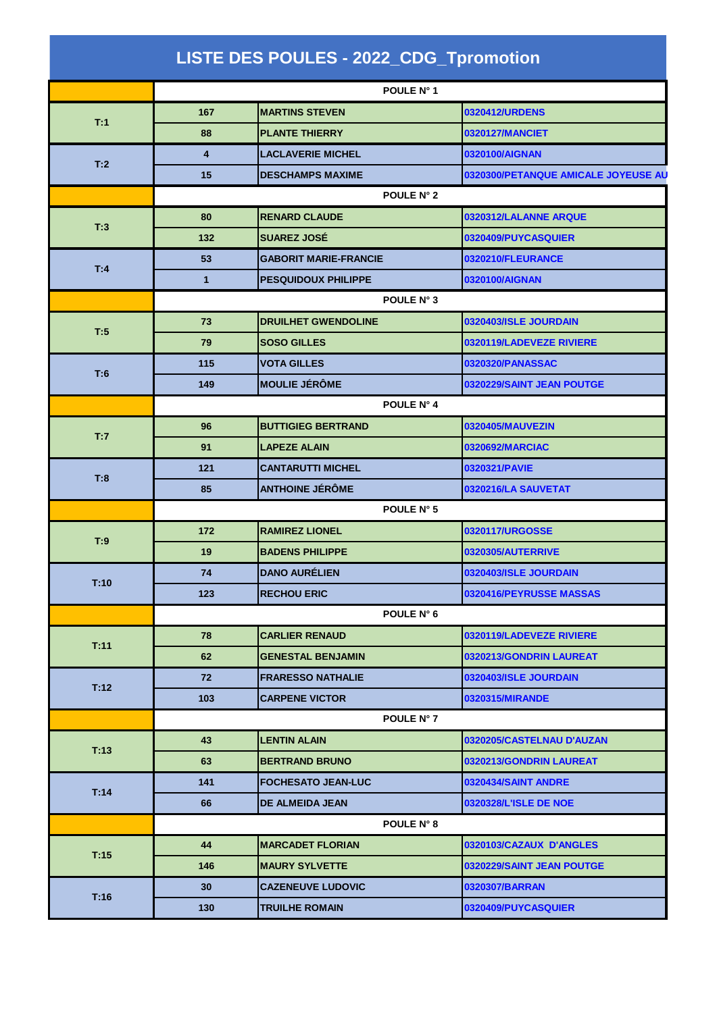|      |                 | <b>LISTE DES POULES - 2022_CDG_Tpromotion</b> |                   |                                     |
|------|-----------------|-----------------------------------------------|-------------------|-------------------------------------|
|      |                 |                                               | POULE N° 1        |                                     |
|      | 167             | <b>MARTINS STEVEN</b>                         |                   | 0320412/URDENS                      |
| T:1  | 88              | <b>PLANTE THIERRY</b>                         |                   | 0320127/MANCIET                     |
|      | 4               | <b>LACLAVERIE MICHEL</b>                      |                   | 0320100/AIGNAN                      |
| T:2  | 15              | <b>DESCHAMPS MAXIME</b>                       |                   | 0320300/PETANQUE AMICALE JOYEUSE AU |
|      |                 |                                               | POULE N° 2        |                                     |
|      | 80              | <b>RENARD CLAUDE</b>                          |                   | 0320312/LALANNE ARQUE               |
| T:3  | 132             | <b>SUAREZ JOSÉ</b>                            |                   | <b>0320409/PUYCASQUIER</b>          |
|      | 53              | <b>GABORIT MARIE-FRANCIE</b>                  |                   | 0320210/FLEURANCE                   |
| T:4  | $\mathbf{1}$    | <b>PESQUIDOUX PHILIPPE</b>                    |                   | 0320100/AIGNAN                      |
|      |                 |                                               | POULE N° 3        |                                     |
|      | 73              | <b>DRUILHET GWENDOLINE</b>                    |                   | 0320403/ISLE JOURDAIN               |
| T:5  | 79              | <b>SOSO GILLES</b>                            |                   | 0320119/LADEVEZE RIVIERE            |
|      | 115             | <b>VOTA GILLES</b>                            |                   | 0320320/PANASSAC                    |
| T:6  | 149             | <b>MOULIE JÉRÔME</b>                          |                   | 0320229/SAINT JEAN POUTGE           |
|      | POULE N° 4      |                                               |                   |                                     |
|      | 96              | <b>BUTTIGIEG BERTRAND</b>                     |                   | 0320405/MAUVEZIN                    |
| T:7  | 91              | <b>LAPEZE ALAIN</b>                           |                   | 0320692/MARCIAC                     |
|      | 121             | <b>CANTARUTTI MICHEL</b>                      |                   | 0320321/PAVIE                       |
| T:8  | 85              | <b>ANTHOINE JÉRÔME</b>                        |                   | 0320216/LA SAUVETAT                 |
|      | POULE N° 5      |                                               |                   |                                     |
|      | 172             | <b>RAMIREZ LIONEL</b>                         |                   | 0320117/URGOSSE                     |
| T:9  | 19              | <b>BADENS PHILIPPE</b>                        |                   | 0320305/AUTERRIVE                   |
|      | 74              | <b>DANO AURÉLIEN</b>                          |                   | 0320403/ISLE JOURDAIN               |
| T:10 | 123             | <b>RECHOU ERIC</b>                            |                   | 0320416/PEYRUSSE MASSAS             |
|      |                 |                                               | POULE N° 6        |                                     |
|      | 78              | <b>CARLIER RENAUD</b>                         |                   | 0320119/LADEVEZE RIVIERE            |
| T:11 | 62              | <b>GENESTAL BENJAMIN</b>                      |                   | 0320213/GONDRIN LAUREAT             |
| T:12 | 72              | <b>FRARESSO NATHALIE</b>                      |                   | 0320403/ISLE JOURDAIN               |
|      | 103             | <b>CARPENE VICTOR</b>                         |                   | 0320315/MIRANDE                     |
|      |                 |                                               | <b>POULE N° 7</b> |                                     |
|      | 43              | <b>LENTIN ALAIN</b>                           |                   | 0320205/CASTELNAU D'AUZAN           |
| T:13 | 63              | <b>BERTRAND BRUNO</b>                         |                   | 0320213/GONDRIN LAUREAT             |
| T:14 | 141             | <b>FOCHESATO JEAN-LUC</b>                     |                   | 0320434/SAINT ANDRE                 |
|      | 66              | DE ALMEIDA JEAN                               |                   | <b>0320328/L'ISLE DE NOE</b>        |
|      |                 |                                               | <b>POULE N° 8</b> |                                     |
|      | 44              | <b>MARCADET FLORIAN</b>                       |                   | 0320103/CAZAUX D'ANGLES             |
| T:15 | 146             | <b>MAURY SYLVETTE</b>                         |                   | <b>0320229/SAINT JEAN POUTGE</b>    |
| T:16 | 30 <sub>2</sub> | <b>CAZENEUVE LUDOVIC</b>                      |                   | 0320307/BARRAN                      |
|      | 130             | <b>TRUILHE ROMAIN</b>                         |                   | 0320409/PUYCASQUIER                 |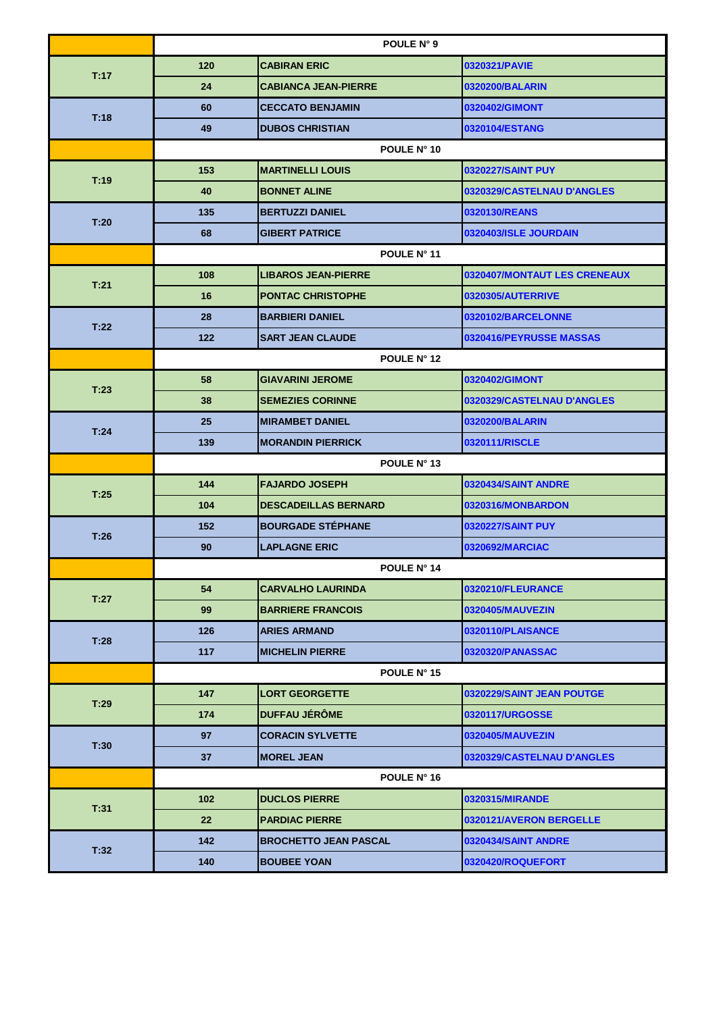|      | POULE N° 9  |                              |                              |
|------|-------------|------------------------------|------------------------------|
| T:17 | 120         | <b>CABIRAN ERIC</b>          | 0320321/PAVIE                |
|      | 24          | <b>CABIANCA JEAN-PIERRE</b>  | 0320200/BALARIN              |
| T:18 | 60          | <b>CECCATO BENJAMIN</b>      | 0320402/GIMONT               |
|      | 49          | <b>DUBOS CHRISTIAN</b>       | 0320104/ESTANG               |
|      |             | POULE N° 10                  |                              |
|      | 153         | <b>MARTINELLI LOUIS</b>      | 0320227/SAINT PUY            |
| T:19 | 40          | <b>BONNET ALINE</b>          | 0320329/CASTELNAU D'ANGLES   |
|      | 135         | <b>BERTUZZI DANIEL</b>       | 0320130/REANS                |
| T:20 | 68          | <b>GIBERT PATRICE</b>        | 0320403/ISLE JOURDAIN        |
|      |             | POULE N° 11                  |                              |
|      | 108         | <b>LIBAROS JEAN-PIERRE</b>   | 0320407/MONTAUT LES CRENEAUX |
| T:21 | 16          | <b>PONTAC CHRISTOPHE</b>     | 0320305/AUTERRIVE            |
|      | 28          | <b>BARBIERI DANIEL</b>       | 0320102/BARCELONNE           |
| T:22 | 122         | <b>SART JEAN CLAUDE</b>      | 0320416/PEYRUSSE MASSAS      |
|      |             | <b>POULE N° 12</b>           |                              |
|      | 58          | <b>GIAVARINI JEROME</b>      | 0320402/GIMONT               |
| T:23 | 38          | <b>SEMEZIES CORINNE</b>      | 0320329/CASTELNAU D'ANGLES   |
|      | 25          | <b>MIRAMBET DANIEL</b>       | 0320200/BALARIN              |
| T:24 | 139         | <b>MORANDIN PIERRICK</b>     | 0320111/RISCLE               |
|      | POULE N° 13 |                              |                              |
| T:25 | 144         | <b>FAJARDO JOSEPH</b>        | 0320434/SAINT ANDRE          |
|      | 104         | <b>DESCADEILLAS BERNARD</b>  | 0320316/MONBARDON            |
| T:26 | 152         | <b>BOURGADE STÉPHANE</b>     | 0320227/SAINT PUY            |
|      | 90          | <b>LAPLAGNE ERIC</b>         | 0320692/MARCIAC              |
|      | POULE N° 14 |                              |                              |
| T:27 | 54          | <b>CARVALHO LAURINDA</b>     | 0320210/FLEURANCE            |
|      | 99          | <b>BARRIERE FRANCOIS</b>     | 0320405/MAUVEZIN             |
|      | 126         | <b>ARIES ARMAND</b>          | 0320110/PLAISANCE            |
| T:28 | 117         | <b>MICHELIN PIERRE</b>       | 0320320/PANASSAC             |
|      | POULE N° 15 |                              |                              |
| T:29 | 147         | <b>LORT GEORGETTE</b>        | 0320229/SAINT JEAN POUTGE    |
|      | 174         | <b>DUFFAU JÉRÔME</b>         | 0320117/URGOSSE              |
| T:30 | 97          | <b>CORACIN SYLVETTE</b>      | 0320405/MAUVEZIN             |
|      | 37          | <b>MOREL JEAN</b>            | 0320329/CASTELNAU D'ANGLES   |
|      | POULE N° 16 |                              |                              |
| T:31 | 102         | <b>DUCLOS PIERRE</b>         | 0320315/MIRANDE              |
|      |             |                              |                              |
|      | 22          | <b>PARDIAC PIERRE</b>        | 0320121/AVERON BERGELLE      |
| T:32 | 142         | <b>BROCHETTO JEAN PASCAL</b> | 0320434/SAINT ANDRE          |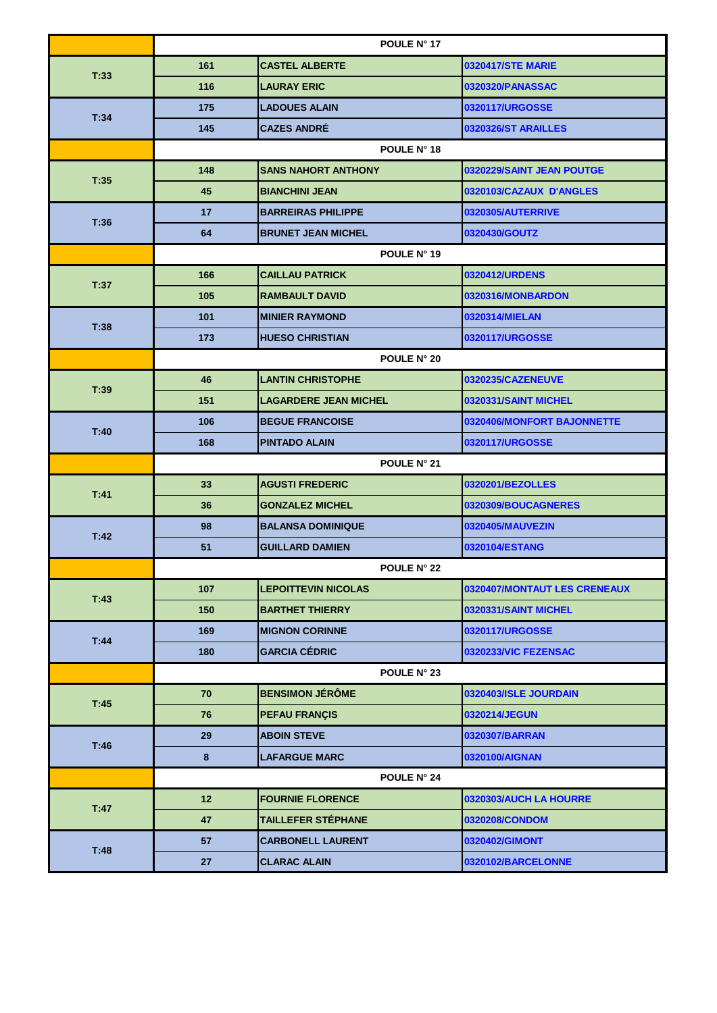|      | POULE N° 17        |                              |                              |
|------|--------------------|------------------------------|------------------------------|
| T:33 | 161                | <b>CASTEL ALBERTE</b>        | <b>0320417/STE MARIE</b>     |
|      | 116                | <b>LAURAY ERIC</b>           | 0320320/PANASSAC             |
| T:34 | 175                | <b>LADOUES ALAIN</b>         | 0320117/URGOSSE              |
|      | 145                | <b>CAZES ANDRE</b>           | 0320326/ST ARAILLES          |
|      |                    | POULE N° 18                  |                              |
|      | 148                | <b>SANS NAHORT ANTHONY</b>   | 0320229/SAINT JEAN POUTGE    |
| T:35 | 45                 | <b>BIANCHINI JEAN</b>        | 0320103/CAZAUX D'ANGLES      |
|      | 17                 | <b>BARREIRAS PHILIPPE</b>    | 0320305/AUTERRIVE            |
| T:36 | 64                 | <b>BRUNET JEAN MICHEL</b>    | 0320430/GOUTZ                |
|      |                    | POULE N° 19                  |                              |
| T:37 | 166                | <b>CAILLAU PATRICK</b>       | 0320412/URDENS               |
|      | 105                | <b>RAMBAULT DAVID</b>        | 0320316/MONBARDON            |
|      | 101                | <b>MINIER RAYMOND</b>        | 0320314/MIELAN               |
| T:38 | 173                | <b>HUESO CHRISTIAN</b>       | 0320117/URGOSSE              |
|      |                    | POULE N° 20                  |                              |
| T:39 | 46                 | <b>LANTIN CHRISTOPHE</b>     | 0320235/CAZENEUVE            |
|      | 151                | <b>LAGARDERE JEAN MICHEL</b> | 0320331/SAINT MICHEL         |
| T:40 | 106                | <b>BEGUE FRANCOISE</b>       | 0320406/MONFORT BAJONNETTE   |
|      | 168                | <b>PINTADO ALAIN</b>         | 0320117/URGOSSE              |
|      | POULE N° 21        |                              |                              |
| T:41 | 33                 | <b>AGUSTI FREDERIC</b>       | 0320201/BEZOLLES             |
|      | 36                 | <b>GONZALEZ MICHEL</b>       | 0320309/BOUCAGNERES          |
| T:42 | 98                 | <b>BALANSA DOMINIQUE</b>     | 0320405/MAUVEZIN             |
|      | 51                 | <b>GUILLARD DAMIEN</b>       | 0320104/ESTANG               |
|      | <b>POULE N° 22</b> |                              |                              |
| T:43 | 107                | <b>LEPOITTEVIN NICOLAS</b>   | 0320407/MONTAUT LES CRENEAUX |
|      | 150                | <b>BARTHET THIERRY</b>       | 0320331/SAINT MICHEL         |
| T:44 | 169                | <b>MIGNON CORINNE</b>        | 0320117/URGOSSE              |
|      | 180                | <b>GARCIA CÉDRIC</b>         | 0320233/VIC FEZENSAC         |
|      | POULE N° 23        |                              |                              |
|      |                    |                              |                              |
|      | 70                 | <b>BENSIMON JÉRÔME</b>       | 0320403/ISLE JOURDAIN        |
| T:45 | 76                 | <b>PEFAU FRANÇIS</b>         | 0320214/JEGUN                |
|      | 29                 | <b>ABOIN STEVE</b>           | 0320307/BARRAN               |
| T:46 | 8                  | <b>LAFARGUE MARC</b>         | 0320100/AIGNAN               |
|      |                    | POULE N° 24                  |                              |
|      | 12 <sup>2</sup>    | <b>FOURNIE FLORENCE</b>      | 0320303/AUCH LA HOURRE       |
| T:47 | 47                 | TAILLEFER STÉPHANE           | 0320208/CONDOM               |
| T:48 | 57                 | <b>CARBONELL LAURENT</b>     | 0320402/GIMONT               |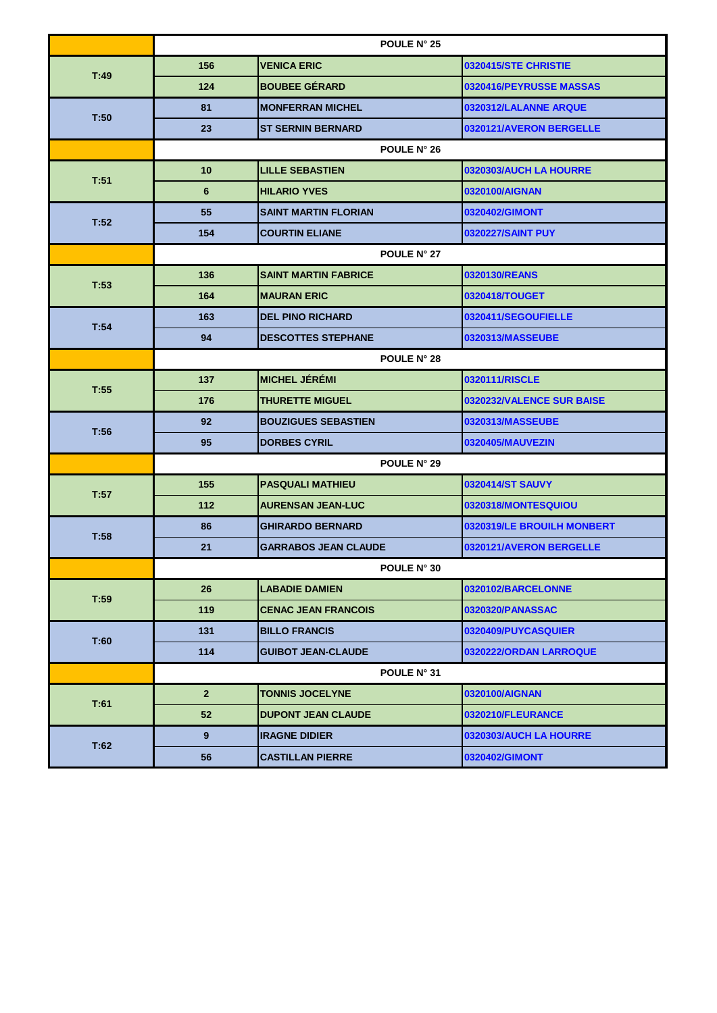|      | POULE N° 25    |                             |                            |
|------|----------------|-----------------------------|----------------------------|
| T:49 | 156            | <b>VENICA ERIC</b>          | 0320415/STE CHRISTIE       |
|      | 124            | <b>BOUBEE GÉRARD</b>        | 0320416/PEYRUSSE MASSAS    |
|      | 81             | <b>MONFERRAN MICHEL</b>     | 0320312/LALANNE ARQUE      |
| T:50 | 23             | <b>ST SERNIN BERNARD</b>    | 0320121/AVERON BERGELLE    |
|      |                | <b>POULE N° 26</b>          |                            |
| T:51 | 10             | <b>LILLE SEBASTIEN</b>      | 0320303/AUCH LA HOURRE     |
|      | 6              | <b>HILARIO YVES</b>         | 0320100/AIGNAN             |
| T:52 | 55             | <b>SAINT MARTIN FLORIAN</b> | 0320402/GIMONT             |
|      | 154            | <b>COURTIN ELIANE</b>       | 0320227/SAINT PUY          |
|      |                | POULE N° 27                 |                            |
| T:53 | 136            | <b>SAINT MARTIN FABRICE</b> | 0320130/REANS              |
|      | 164            | <b>MAURAN ERIC</b>          | 0320418/TOUGET             |
| T:54 | 163            | <b>DEL PINO RICHARD</b>     | 0320411/SEGOUFIELLE        |
|      | 94             | <b>DESCOTTES STEPHANE</b>   | 0320313/MASSEUBE           |
|      | POULE N° 28    |                             |                            |
| T:55 | 137            | <b>MICHEL JÉRÉMI</b>        | 0320111/RISCLE             |
|      | 176            | <b>THURETTE MIGUEL</b>      | 0320232/VALENCE SUR BAISE  |
| T:56 | 92             | <b>BOUZIGUES SEBASTIEN</b>  | 0320313/MASSEUBE           |
|      | 95             | <b>DORBES CYRIL</b>         | 0320405/MAUVEZIN           |
|      | POULE N° 29    |                             |                            |
| T:57 | 155            | <b>PASQUALI MATHIEU</b>     | 0320414/ST SAUVY           |
|      | 112            | <b>AURENSAN JEAN-LUC</b>    | 0320318/MONTESQUIOU        |
| T:58 | 86             | <b>GHIRARDO BERNARD</b>     | 0320319/LE BROUILH MONBERT |
|      | 21             | <b>GARRABOS JEAN CLAUDE</b> | 0320121/AVERON BERGELLE    |
|      | POULE N° 30    |                             |                            |
| T:59 | 26             | <b>LABADIE DAMIEN</b>       | 0320102/BARCELONNE         |
|      | 119            | <b>CENAC JEAN FRANCOIS</b>  | 0320320/PANASSAC           |
| T:60 | 131            | <b>BILLO FRANCIS</b>        | 0320409/PUYCASQUIER_       |
|      | 114            | <b>GUIBOT JEAN-CLAUDE</b>   | 0320222/ORDAN LARROQUE     |
|      |                | POULE N° 31                 |                            |
| T:61 | 2 <sup>2</sup> | <b>TONNIS JOCELYNE</b>      | 0320100/AIGNAN             |
|      | 52             | <b>DUPONT JEAN CLAUDE</b>   | 0320210/FLEURANCE          |
|      | 9              | <b>IRAGNE DIDIER</b>        | 0320303/AUCH LA HOURRE     |
| T:62 | 56             | <b>CASTILLAN PIERRE</b>     | 0320402/GIMONT             |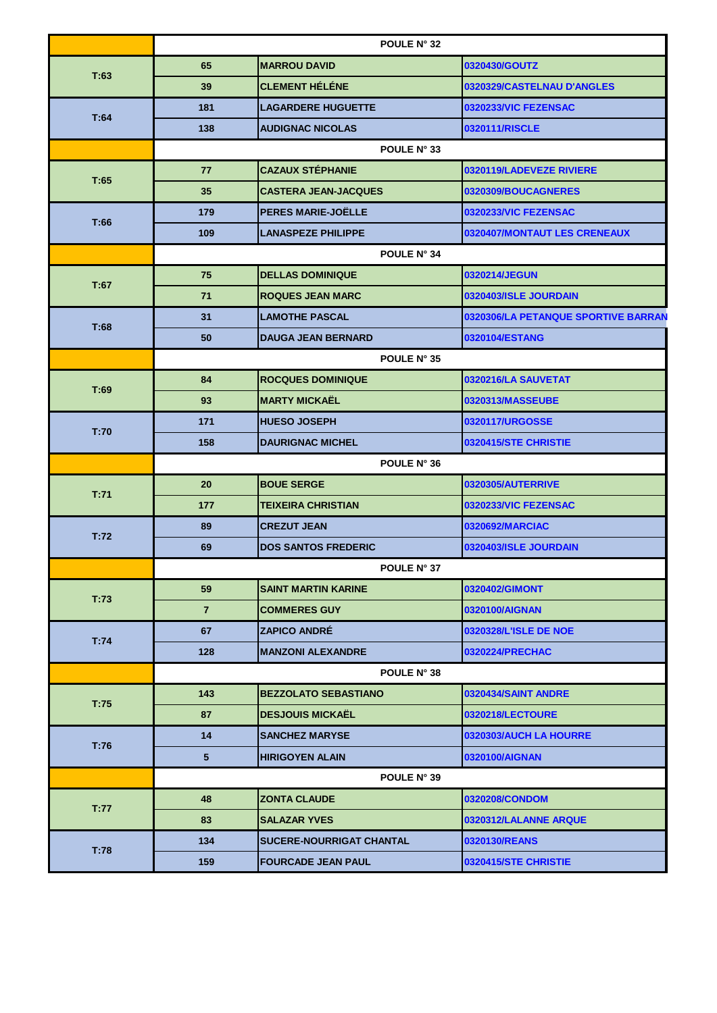|      | <b>POULE N° 32</b> |                                 |                                     |
|------|--------------------|---------------------------------|-------------------------------------|
|      | 65                 | <b>MARROU DAVID</b>             | 0320430/GOUTZ                       |
| T:63 | 39                 | <b>CLEMENT HÉLÉNE</b>           | 0320329/CASTELNAU D'ANGLES          |
| T:64 | 181                | <b>LAGARDERE HUGUETTE</b>       | 0320233/VIC FEZENSAC                |
|      | 138                | <b>AUDIGNAC NICOLAS</b>         | 0320111/RISCLE                      |
|      |                    | POULE N° 33                     |                                     |
|      | 77                 | <b>CAZAUX STÉPHANIE</b>         | 0320119/LADEVEZE RIVIERE            |
| T:65 | 35                 | <b>CASTERA JEAN-JACQUES</b>     | 0320309/BOUCAGNERES                 |
|      | 179                | <b>PERES MARIE-JOËLLE</b>       | 0320233/VIC FEZENSAC                |
| T:66 | 109                | <b>LANASPEZE PHILIPPE</b>       | 0320407/MONTAUT LES CRENEAUX        |
|      |                    | POULE N° 34                     |                                     |
|      | 75                 | <b>DELLAS DOMINIQUE</b>         | 0320214/JEGUN                       |
| T:67 | 71                 | <b>ROQUES JEAN MARC</b>         | 0320403/ISLE JOURDAIN               |
|      | 31                 | <b>LAMOTHE PASCAL</b>           | 0320306/LA PETANQUE SPORTIVE BARRAN |
| T:68 | 50                 | <b>DAUGA JEAN BERNARD</b>       | 0320104/ESTANG                      |
|      | POULE N° 35        |                                 |                                     |
|      | 84                 | <b>ROCQUES DOMINIQUE</b>        | 0320216/LA SAUVETAT                 |
| T:69 | 93                 | <b>MARTY MICKAËL</b>            | 0320313/MASSEUBE                    |
|      | 171                | <b>HUESO JOSEPH</b>             | 0320117/URGOSSE                     |
| T:70 | 158                | <b>DAURIGNAC MICHEL</b>         | 0320415/STE CHRISTIE                |
|      | <b>POULE N° 36</b> |                                 |                                     |
|      | 20                 | <b>BOUE SERGE</b>               | 0320305/AUTERRIVE                   |
| T:71 | 177                | <b>TEIXEIRA CHRISTIAN</b>       | 0320233/VIC FEZENSAC                |
|      | 89                 | <b>CREZUT JEAN</b>              | 0320692/MARCIAC                     |
| T:72 | 69                 | <b>DOS SANTOS FREDERIC</b>      | 0320403/ISLE JOURDAIN               |
|      | <b>POULE N° 37</b> |                                 |                                     |
|      | 59                 | <b>SAINT MARTIN KARINE</b>      | 0320402/GIMONT                      |
| T:73 | $\overline{7}$     | <b>COMMERES GUY</b>             | 0320100/AIGNAN                      |
|      | 67                 | ZAPICO ANDRÉ                    | 0320328/L'ISLE DE NOE               |
| T:74 | 128                | <b>MANZONI ALEXANDRE</b>        | 0320224/PRECHAC                     |
|      | <b>POULE N° 38</b> |                                 |                                     |
| T:75 | 143                | <b>BEZZOLATO SEBASTIANO</b>     | 0320434/SAINT ANDRE                 |
|      | 87                 | <b>DESJOUIS MICKAËL</b>         | 0320218/LECTOURE                    |
| T:76 | 14                 | <b>SANCHEZ MARYSE</b>           | 0320303/AUCH LA HOURRE              |
|      | 5                  | <b>HIRIGOYEN ALAIN</b>          | 0320100/AIGNAN                      |
|      | POULE N° 39        |                                 |                                     |
|      | 48                 | <b>ZONTA CLAUDE</b>             | 0320208/CONDOM                      |
| T:77 | 83                 | <b>SALAZAR YVES</b>             | 0320312/LALANNE ARQUE               |
| T:78 | 134                | <b>SUCERE-NOURRIGAT CHANTAL</b> | 0320130/REANS                       |
|      | 159                | <b>FOURCADE JEAN PAUL</b>       | 0320415/STE CHRISTIE                |
|      |                    |                                 |                                     |